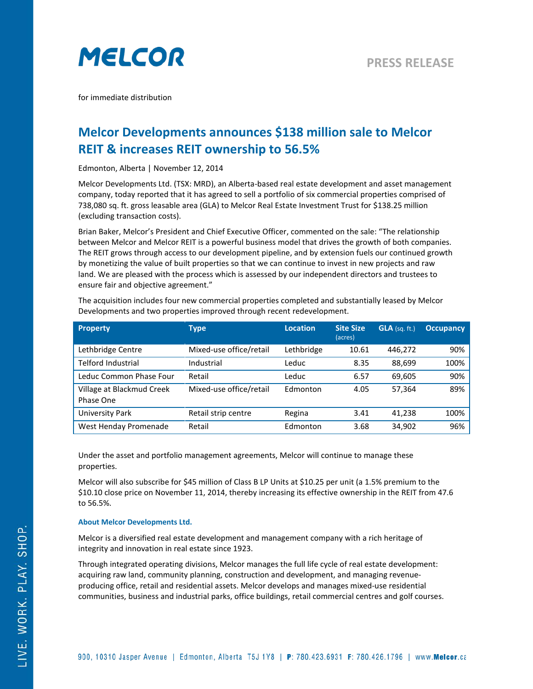

for immediate distribution

## **Melcor Developments announces \$138 million sale to Melcor REIT & increases REIT ownership to 56.5%**

Edmonton, Alberta | November 12, 2014

Melcor Developments Ltd. (TSX: MRD), an Alberta-based real estate development and asset management company, today reported that it has agreed to sell a portfolio of six commercial properties comprised of 738,080 sq. ft. gross leasable area (GLA) to Melcor Real Estate Investment Trust for \$138.25 million (excluding transaction costs).

Brian Baker, Melcor's President and Chief Executive Officer, commented on the sale: "The relationship between Melcor and Melcor REIT is a powerful business model that drives the growth of both companies. The REIT grows through access to our development pipeline, and by extension fuels our continued growth by monetizing the value of built properties so that we can continue to invest in new projects and raw land. We are pleased with the process which is assessed by our independent directors and trustees to ensure fair and objective agreement."

| The acquisition includes four new commercial properties completed and substantially leased by Melcor |
|------------------------------------------------------------------------------------------------------|
| Developments and two properties improved through recent redevelopment.                               |

| <b>Property</b>                        | <b>Type</b>             | <b>Location</b> | <b>Site Size</b><br>(acres) | $GLA$ (sq. ft.) | <b>Occupancy</b> |
|----------------------------------------|-------------------------|-----------------|-----------------------------|-----------------|------------------|
| Lethbridge Centre                      | Mixed-use office/retail | Lethbridge      | 10.61                       | 446,272         | 90%              |
| <b>Telford Industrial</b>              | Industrial              | Leduc           | 8.35                        | 88,699          | 100%             |
| Leduc Common Phase Four                | Retail                  | Leduc           | 6.57                        | 69,605          | 90%              |
| Village at Blackmud Creek<br>Phase One | Mixed-use office/retail | Edmonton        | 4.05                        | 57,364          | 89%              |
| <b>University Park</b>                 | Retail strip centre     | Regina          | 3.41                        | 41,238          | 100%             |
| West Henday Promenade                  | Retail                  | Edmonton        | 3.68                        | 34,902          | 96%              |

Under the asset and portfolio management agreements, Melcor will continue to manage these properties.

Melcor will also subscribe for \$45 million of Class B LP Units at \$10.25 per unit (a 1.5% premium to the \$10.10 close price on November 11, 2014, thereby increasing its effective ownership in the REIT from 47.6 to 56.5%.

## **About Melcor Developments Ltd.**

Melcor is a diversified real estate development and management company with a rich heritage of integrity and innovation in real estate since 1923.

Through integrated operating divisions, Melcor manages the full life cycle of real estate development: acquiring raw land, community planning, construction and development, and managing revenueproducing office, retail and residential assets. Melcor develops and manages mixed-use residential communities, business and industrial parks, office buildings, retail commercial centres and golf courses.